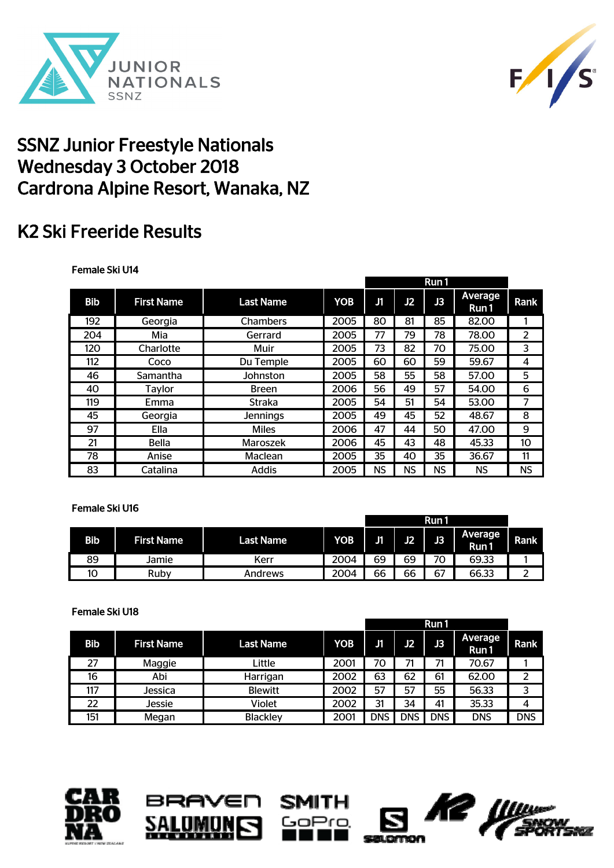



## SSNZ Junior Freestyle Nationals Wednesday 3 October 2018 Cardrona Alpine Resort, Wanaka, NZ

# K2 Ski Freeride Results

### Female Ski U14

|            |                   |                  |            | Run 1 |    |           |                  |      |
|------------|-------------------|------------------|------------|-------|----|-----------|------------------|------|
| <b>Bib</b> | <b>First Name</b> | <b>Last Name</b> | <b>YOB</b> | J1    | J2 | J3        | Average<br>Run 1 | Rank |
| 192        | Georgia           | Chambers         | 2005       | 80    | 81 | 85        | 82.00            |      |
| 204        | Mia               | Gerrard          | 2005       | 77    | 79 | 78        | 78.00            | 2    |
| 120        | Charlotte         | Muir             | 2005       | 73    | 82 | 70        | 75.00            | 3    |
| 112        | Coco              | Du Temple        | 2005       | 60    | 60 | 59        | 59.67            | 4    |
| 46         | Samantha          | Johnston         | 2005       | 58    | 55 | 58        | 57.00            | 5    |
| 40         | Taylor            | <b>Breen</b>     | 2006       | 56    | 49 | 57        | 54.00            | 6    |
| 119        | Emma              | Straka           | 2005       | 54    | 51 | 54        | 53.00            | 7    |
| 45         | Georgia           | Jennings         | 2005       | 49    | 45 | 52        | 48.67            | 8    |
| 97         | <b>Ella</b>       | <b>Miles</b>     | 2006       | 47    | 44 | 50        | 47.00            | 9    |
| 21         | <b>Bella</b>      | Maroszek         | 2006       | 45    | 43 | 48        | 45.33            | 10   |
| 78         | Anise             | Maclean          | 2005       | 35    | 40 | 35        | 36.67            | 11   |
| 83         | Catalina          | Addis            | 2005       | NS    | NS | <b>NS</b> | NS.              | NS   |

#### Female Ski U16

|     |                   |                  |            |    |    | Run1 |                        |      |
|-----|-------------------|------------------|------------|----|----|------|------------------------|------|
| Bib | <b>First Name</b> | <b>Last Name</b> | <b>YOB</b> | J1 | J2 | J3   | <b>Average</b><br>Run1 | Rank |
| 89  | Jamie             | Kerr             | 2004       | 69 | 69 | 70   | 69.33                  |      |
| 10  | Ruby              | Andrews          | 2004       | 66 | 66 | 67   | 66.33                  | ∽    |

#### Female Ski U18 Bib First Name Last Name YOB J1 J2 J3 Average Average Rank 27 | Maggie | Little | 2001 | 70 | 71 | 71 | 70.67 | 1 16 Abi Harrigan 2002 63 62 61 62.00 2 117 | Jessica | Blewitt | 2002 | 57 | 57 | 55 | 56.33 | 3 22 Jessie Violet 2002 31 34 41 35.33 4 151 | Megan | Blackley | 2001 | DNS | DNS | DNS | DNS | DNS Run 1





UMU

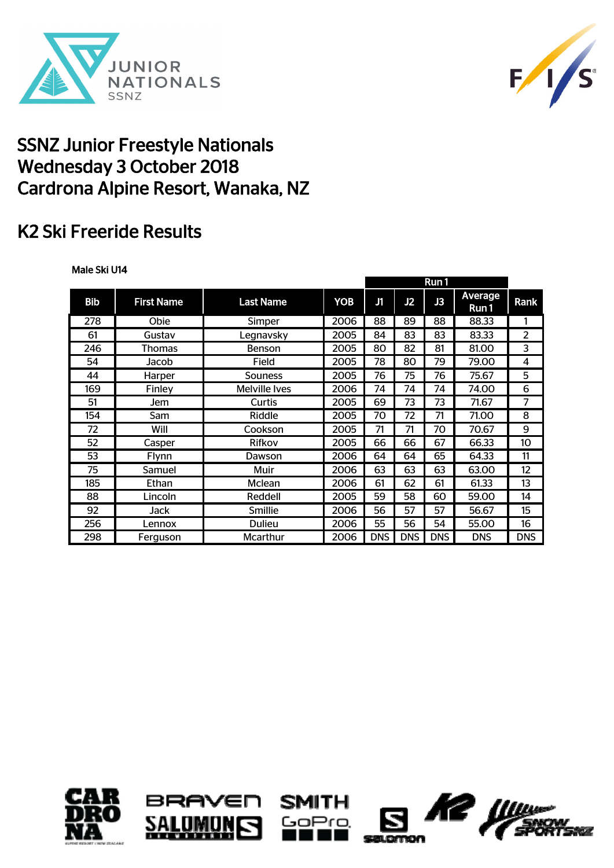



## SSNZ Junior Freestyle Nationals Wednesday 3 October 2018 Cardrona Alpine Resort, Wanaka, NZ

# K2 Ski Freeride Results

### Male Ski U14

| <b>Bib</b> | <b>First Name</b> | <b>Last Name</b> | <b>YOB</b> | J1         | J2         | J3         | <b>Average</b><br>Run 1 | Rank       |
|------------|-------------------|------------------|------------|------------|------------|------------|-------------------------|------------|
| 278        | Obie              | Simper           | 2006       | 88         | 89         | 88         | 88.33                   |            |
| 61         | Gustav            | Legnavsky        | 2005       | 84         | 83         | 83         | 83.33                   | 2          |
| 246        | <b>Thomas</b>     | <b>Benson</b>    | 2005       | 80         | 82         | 81         | 81.00                   | 3          |
| 54         | Jacob             | Field            | 2005       | 78         | 80         | 79         | 79.00                   | 4          |
| 44         | Harper            | Souness          | 2005       | 76         | 75         | 76         | 75.67                   | 5          |
| 169        | Finley            | Melville Ives    | 2006       | 74         | 74         | 74         | 74.00                   | 6          |
| 51         | Jem               | Curtis           | 2005       | 69         | 73         | 73         | 71.67                   | 7          |
| 154        | Sam               | Riddle           | 2005       | 70         | 72         | 71         | 71.00                   | 8          |
| 72         | Will              | Cookson          | 2005       | 71         | 71         | 70         | 70.67                   | 9          |
| 52         | Casper            | Rifkov           | 2005       | 66         | 66         | 67         | 66.33                   | 10         |
| 53         | Flynn             | Dawson           | 2006       | 64         | 64         | 65         | 64.33                   | 11         |
| 75         | Samuel            | Muir             | 2006       | 63         | 63         | 63         | 63.00                   | 12         |
| 185        | Ethan             | Mclean           | 2006       | 61         | 62         | 61         | 61.33                   | 13         |
| 88         | Lincoln           | Reddell          | 2005       | 59         | 58         | 60         | 59.00                   | 14         |
| 92         | Jack              | Smillie          | 2006       | 56         | 57         | 57         | 56.67                   | 15         |
| 256        | Lennox            | <b>Dulieu</b>    | 2006       | 55         | 56         | 54         | 55.00                   | 16         |
| 298        | Ferguson          | Mcarthur         | 2006       | <b>DNS</b> | <b>DNS</b> | <b>DNS</b> | <b>DNS</b>              | <b>DNS</b> |